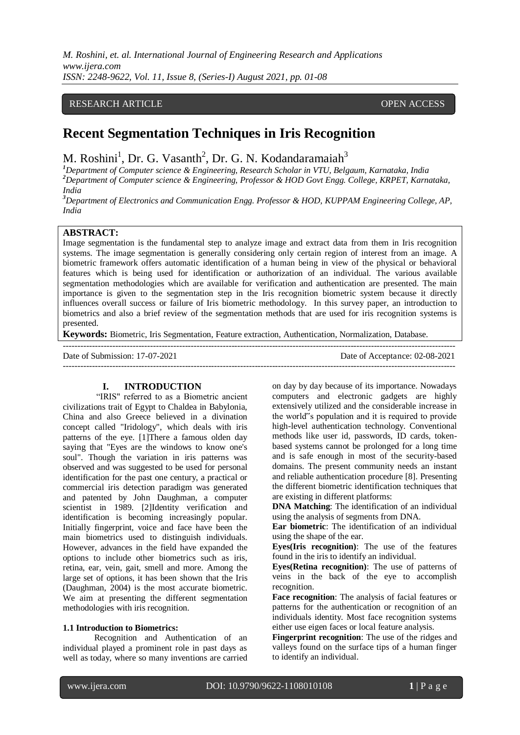*M. Roshini, et. al. International Journal of Engineering Research and Applications www.ijera.com ISSN: 2248-9622, Vol. 11, Issue 8, (Series-I) August 2021, pp. 01-08*

# RESEARCH ARTICLE **CONTRACT ARTICLE**

# **Recent Segmentation Techniques in Iris Recognition**

M. Roshini<sup>1</sup>, Dr. G. Vasanth<sup>2</sup>, Dr. G. N. Kodandaramaiah<sup>3</sup>

*<sup>1</sup>Department of Computer science & Engineering, Research Scholar in VTU, Belgaum, Karnataka, India <sup>2</sup>Department of Computer science & Engineering, Professor & HOD Govt Engg. College, KRPET, Karnataka, India*

*<sup>3</sup>Department of Electronics and Communication Engg. Professor & HOD, KUPPAM Engineering College, AP, India*

# **ABSTRACT:**

Image segmentation is the fundamental step to analyze image and extract data from them in Iris recognition systems. The image segmentation is generally considering only certain region of interest from an image. A biometric framework offers automatic identification of a human being in view of the physical or behavioral features which is being used for identification or authorization of an individual. The various available segmentation methodologies which are available for verification and authentication are presented. The main importance is given to the segmentation step in the Iris recognition biometric system because it directly influences overall success or failure of Iris biometric methodology. In this survey paper, an introduction to biometrics and also a brief review of the segmentation methods that are used for iris recognition systems is presented.

**Keywords:** Biometric, Iris Segmentation, Feature extraction, Authentication, Normalization, Database.

---------------------------------------------------------------------------------------------------------------------------------------

---------------------------------------------------------------------------------------------------------------------------------------

Date of Submission: 17-07-2021 Date of Acceptance: 02-08-2021

#### **I. INTRODUCTION**

"IRIS" referred to as a Biometric ancient civilizations trait of Egypt to Chaldea in Babylonia, China and also Greece believed in a divination concept called "Iridology", which deals with iris patterns of the eye. [1]There a famous olden day saying that "Eyes are the windows to know one's soul". Though the variation in iris patterns was observed and was suggested to be used for personal identification for the past one century, a practical or commercial iris detection paradigm was generated and patented by John Daughman, a computer scientist in 1989. [2]Identity verification and identification is becoming increasingly popular. Initially fingerprint, voice and face have been the main biometrics used to distinguish individuals. However, advances in the field have expanded the options to include other biometrics such as iris, retina, ear, vein, gait, smell and more. Among the large set of options, it has been shown that the Iris (Daughman, 2004) is the most accurate biometric. We aim at presenting the different segmentation methodologies with iris recognition.

## **1.1 Introduction to Biometrics:**

Recognition and Authentication of an individual played a prominent role in past days as well as today, where so many inventions are carried on day by day because of its importance. Nowadays computers and electronic gadgets are highly extensively utilized and the considerable increase in the world"s population and it is required to provide high-level authentication technology. Conventional methods like user id, passwords, ID cards, tokenbased systems cannot be prolonged for a long time and is safe enough in most of the security-based domains. The present community needs an instant and reliable authentication procedure [8]. Presenting the different biometric identification techniques that are existing in different platforms:

**DNA Matching**: The identification of an individual using the analysis of segments from DNA.

**Ear biometric**: The identification of an individual using the shape of the ear.

**Eyes(Iris recognition)**: The use of the features found in the iris to identify an individual.

**Eyes(Retina recognition)**: The use of patterns of veins in the back of the eye to accomplish recognition.

**Face recognition**: The analysis of facial features or patterns for the authentication or recognition of an individuals identity. Most face recognition systems either use eigen faces or local feature analysis.

**Fingerprint recognition**: The use of the ridges and valleys found on the surface tips of a human finger to identify an individual.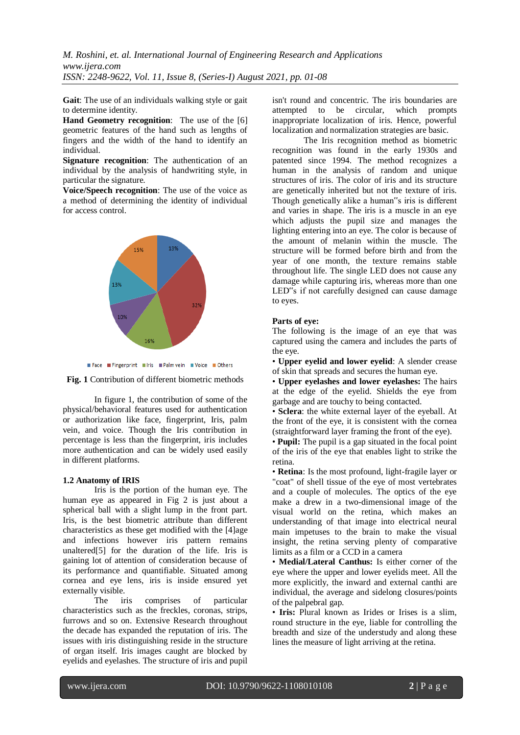**Gait**: The use of an individuals walking style or gait to determine identity.

**Hand Geometry recognition**: The use of the [6] geometric features of the hand such as lengths of fingers and the width of the hand to identify an individual.

**Signature recognition**: The authentication of an individual by the analysis of handwriting style, in particular the signature.

**Voice/Speech recognition**: The use of the voice as a method of determining the identity of individual for access control.







In figure 1, the contribution of some of the physical/behavioral features used for authentication or authorization like face, fingerprint, Iris, palm vein, and voice. Though the Iris contribution in percentage is less than the fingerprint, iris includes more authentication and can be widely used easily in different platforms.

#### **1.2 Anatomy of IRIS**

Iris is the portion of the human eye. The human eye as appeared in Fig 2 is just about a spherical ball with a slight lump in the front part. Iris, is the best biometric attribute than different characteristics as these get modified with the [4]age and infections however iris pattern remains unaltered[5] for the duration of the life. Iris is gaining lot of attention of consideration because of its performance and quantifiable. Situated among cornea and eye lens, iris is inside ensured yet externally visible.

The iris comprises of particular characteristics such as the freckles, coronas, strips, furrows and so on. Extensive Research throughout the decade has expanded the reputation of iris. The issues with iris distinguishing reside in the structure of organ itself. Iris images caught are blocked by eyelids and eyelashes. The structure of iris and pupil isn't round and concentric. The iris boundaries are attempted to be circular, which prompts inappropriate localization of iris. Hence, powerful localization and normalization strategies are basic.

The Iris recognition method as biometric recognition was found in the early 1930s and patented since 1994. The method recognizes a human in the analysis of random and unique structures of iris. The color of iris and its structure are genetically inherited but not the texture of iris. Though genetically alike a human"s iris is different and varies in shape. The iris is a muscle in an eye which adjusts the pupil size and manages the lighting entering into an eye. The color is because of the amount of melanin within the muscle. The structure will be formed before birth and from the year of one month, the texture remains stable throughout life. The single LED does not cause any damage while capturing iris, whereas more than one LED"s if not carefully designed can cause damage to eyes.

### **Parts of eye:**

The following is the image of an eye that was captured using the camera and includes the parts of the eye.

• **Upper eyelid and lower eyelid**: A slender crease of skin that spreads and secures the human eye.

• **Upper eyelashes and lower eyelashes:** The hairs at the edge of the eyelid. Shields the eye from garbage and are touchy to being contacted.

• **Sclera**: the white external layer of the eyeball. At the front of the eye, it is consistent with the cornea (straightforward layer framing the front of the eye).

• **Pupil:** The pupil is a gap situated in the focal point of the iris of the eye that enables light to strike the retina.

• **Retina**: Is the most profound, light-fragile layer or "coat" of shell tissue of the eye of most vertebrates and a couple of molecules. The optics of the eye make a drew in a two-dimensional image of the visual world on the retina, which makes an understanding of that image into electrical neural main impetuses to the brain to make the visual insight, the retina serving plenty of comparative limits as a film or a CCD in a camera

• **Medial/Lateral Canthus:** Is either corner of the eye where the upper and lower eyelids meet. All the more explicitly, the inward and external canthi are individual, the average and sidelong closures/points of the palpebral gap.

• **Iris:** Plural known as Irides or Irises is a slim, round structure in the eye, liable for controlling the breadth and size of the understudy and along these lines the measure of light arriving at the retina.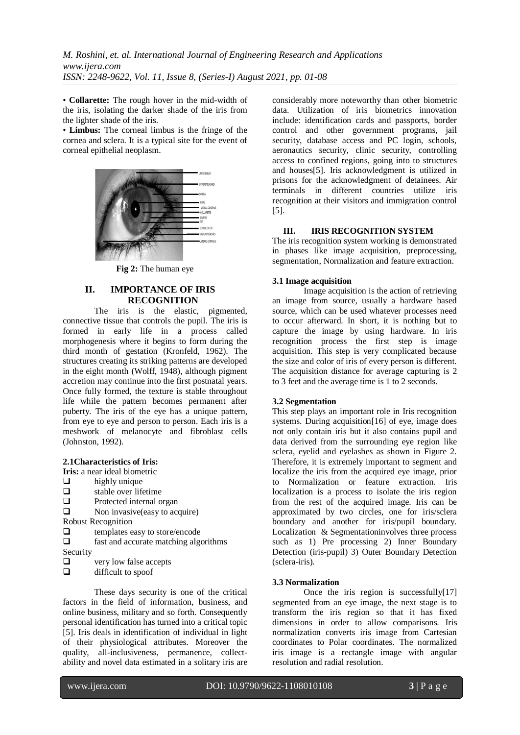• **Collarette:** The rough hover in the mid-width of the iris, isolating the darker shade of the iris from the lighter shade of the iris.

• **Limbus:** The corneal limbus is the fringe of the cornea and sclera. It is a typical site for the event of corneal epithelial neoplasm.



**Fig 2:** The human eye

# **II. IMPORTANCE OF IRIS RECOGNITION**

The iris is the elastic, pigmented, connective tissue that controls the pupil. The iris is formed in early life in a process called morphogenesis where it begins to form during the third month of gestation (Kronfeld, 1962). The structures creating its striking patterns are developed in the eight month (Wolff, 1948), although pigment accretion may continue into the first postnatal years. Once fully formed, the texture is stable throughout life while the pattern becomes permanent after puberty. The iris of the eye has a unique pattern, from eye to eye and person to person. Each iris is a meshwork of melanocyte and fibroblast cells (Johnston, 1992).

**2.1Characteristics of Iris:**

**Iris:** a near ideal biometric

 $\Box$  highly unique<br> $\Box$  stable over life

- $\Box$  stable over lifetime<br> $\Box$  Protected internal or
- Protected internal organ
- $\Box$  Non invasive (easy to acquire)

Robust Recognition

 $\square$  templates easy to store/encode<br> $\square$  fast and accurate matching alge

fast and accurate matching algorithms

Security

- $\Box$  very low false accepts
- $\Box$  difficult to spoof

These days security is one of the critical factors in the field of information, business, and online business, military and so forth. Consequently personal identification has turned into a critical topic [5]. Iris deals in identification of individual in light of their physiological attributes. Moreover the quality, all-inclusiveness, permanence, collectability and novel data estimated in a solitary iris are considerably more noteworthy than other biometric data. Utilization of iris biometrics innovation include: identification cards and passports, border control and other government programs, jail security, database access and PC login, schools, aeronautics security, clinic security, controlling access to confined regions, going into to structures and houses[5]. Iris acknowledgment is utilized in prisons for the acknowledgment of detainees. Air terminals in different countries utilize iris recognition at their visitors and immigration control [5].

# **III. IRIS RECOGNITION SYSTEM**

The iris recognition system working is demonstrated in phases like image acquisition, preprocessing, segmentation, Normalization and feature extraction.

# **3.1 Image acquisition**

Image acquisition is the action of retrieving an image from source, usually a hardware based source, which can be used whatever processes need to occur afterward. In short, it is nothing but to capture the image by using hardware. In iris recognition process the first step is image acquisition. This step is very complicated because the size and color of iris of every person is different. The acquisition distance for average capturing is 2 to 3 feet and the average time is 1 to 2 seconds.

## **3.2 Segmentation**

This step plays an important role in Iris recognition systems. During acquisition[16] of eye, image does not only contain iris but it also contains pupil and data derived from the surrounding eye region like sclera, eyelid and eyelashes as shown in Figure 2. Therefore, it is extremely important to segment and localize the iris from the acquired eye image, prior to Normalization or feature extraction. Iris localization is a process to isolate the iris region from the rest of the acquired image. Iris can be approximated by two circles, one for iris/sclera boundary and another for iris/pupil boundary. Localization & Segmentationinvolves three process such as 1) Pre processing 2) Inner Boundary Detection (iris-pupil) 3) Outer Boundary Detection (sclera-iris).

## **3.3 Normalization**

Once the iris region is successfully[17] segmented from an eye image, the next stage is to transform the iris region so that it has fixed dimensions in order to allow comparisons. Iris normalization converts iris image from Cartesian coordinates to Polar coordinates. The normalized iris image is a rectangle image with angular resolution and radial resolution.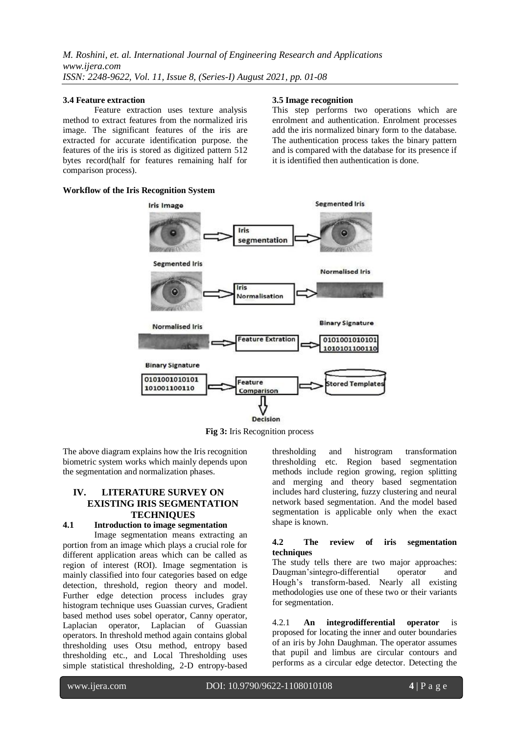#### **3.4 Feature extraction**

Feature extraction uses texture analysis method to extract features from the normalized iris image. The significant features of the iris are extracted for accurate identification purpose. the features of the iris is stored as digitized pattern 512 bytes record(half for features remaining half for comparison process).

#### **Workflow of the Iris Recognition System**

# **Segmented Iris Iris Image** Iric segmentation **Segmented Iris Normalised Iris** Irie **Normalisation Binary Signature Normalised Iris Feature Extration** 0101001010101 1010101100110 **Binary Signature** 0101001010101 Feature tored Template 101001100110 Comparison **Decision**

**3.5 Image recognition**

This step performs two operations which are enrolment and authentication. Enrolment processes add the iris normalized binary form to the database. The authentication process takes the binary pattern and is compared with the database for its presence if

it is identified then authentication is done.

**Fig 3:** Iris Recognition process

The above diagram explains how the Iris recognition biometric system works which mainly depends upon the segmentation and normalization phases.

# **IV. LITERATURE SURVEY ON EXISTING IRIS SEGMENTATION TECHNIQUES**

### **4.1 Introduction to image segmentation**

Image segmentation means extracting an portion from an image which plays a crucial role for different application areas which can be called as region of interest (ROI). Image segmentation is mainly classified into four categories based on edge detection, threshold, region theory and model. Further edge detection process includes gray histogram technique uses Guassian curves, Gradient based method uses sobel operator, Canny operator, Laplacian operator, Laplacian of Guassian operators. In threshold method again contains global thresholding uses Otsu method, entropy based thresholding etc., and Local Thresholding uses simple statistical thresholding, 2-D entropy-based thresholding and histrogram transformation thresholding etc. Region based segmentation methods include region growing, region splitting and merging and theory based segmentation includes hard clustering, fuzzy clustering and neural network based segmentation. And the model based segmentation is applicable only when the exact shape is known.

### **4.2 The review of iris segmentation techniques**

The study tells there are two major approaches: Daugman'sintegro-differential operator and Hough's transform-based. Nearly all existing methodologies use one of these two or their variants for segmentation.

4.2.1 **An integrodifferential operator** is proposed for locating the inner and outer boundaries of an iris by John Daughman. The operator assumes that pupil and limbus are circular contours and performs as a circular edge detector. Detecting the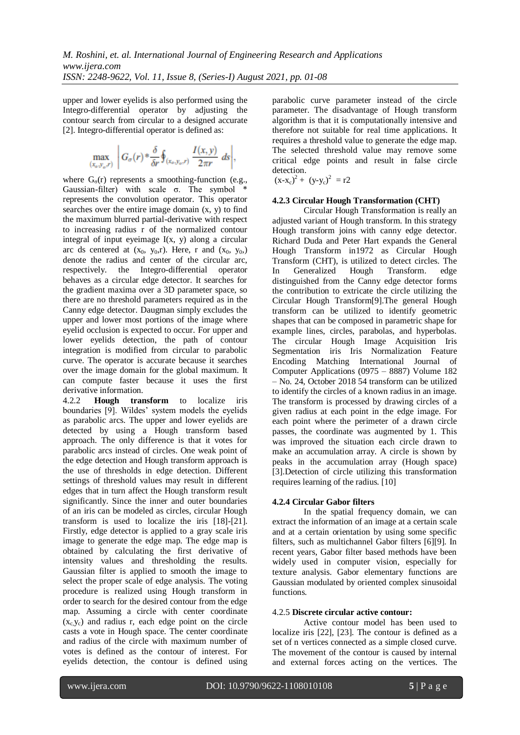upper and lower eyelids is also performed using the Integro-differential operator by adjusting the contour search from circular to a designed accurate [2]. Integro-differential operator is defined as:

$$
\max_{(x_o, y_o, r)} \left| G_{\sigma}(r) * \frac{\delta}{\delta r} \oint_{(x_o, y_o, r)} \frac{I(x, y)}{2\pi r} ds \right|,
$$

where  $G_{\sigma}(r)$  represents a smoothing-function (e.g., Gaussian-filter) with scale σ. The symbol \* represents the convolution operator. This operator searches over the entire image domain  $(x, y)$  to find the maximum blurred partial-derivative with respect to increasing radius r of the normalized contour integral of input eyeimage  $I(x, y)$  along a circular arc ds centered at  $(x_0, y_0,r)$ . Here, r and  $(x_0, y_0)$ denote the radius and center of the circular arc, respectively. the Integro-differential operator behaves as a circular edge detector. It searches for the gradient maxima over a 3D parameter space, so there are no threshold parameters required as in the Canny edge detector. Daugman simply excludes the upper and lower most portions of the image where eyelid occlusion is expected to occur. For upper and lower eyelids detection, the path of contour integration is modified from circular to parabolic curve. The operator is accurate because it searches over the image domain for the global maximum. It can compute faster because it uses the first derivative information.

4.2.2 **Hough transform** to localize iris boundaries [9]. Wildes' system models the eyelids as parabolic arcs. The upper and lower eyelids are detected by using a Hough transform based approach. The only difference is that it votes for parabolic arcs instead of circles. One weak point of the edge detection and Hough transform approach is the use of thresholds in edge detection. Different settings of threshold values may result in different edges that in turn affect the Hough transform result significantly. Since the inner and outer boundaries of an iris can be modeled as circles, circular Hough transform is used to localize the iris [18]-[21]. Firstly, edge detector is applied to a gray scale iris image to generate the edge map. The edge map is obtained by calculating the first derivative of intensity values and thresholding the results. Gaussian filter is applied to smooth the image to select the proper scale of edge analysis. The voting procedure is realized using Hough transform in order to search for the desired contour from the edge map. Assuming a circle with center coordinate  $(x_c, y_c)$  and radius r, each edge point on the circle casts a vote in Hough space. The center coordinate and radius of the circle with maximum number of votes is defined as the contour of interest. For eyelids detection, the contour is defined using parabolic curve parameter instead of the circle parameter. The disadvantage of Hough transform algorithm is that it is computationally intensive and therefore not suitable for real time applications. It requires a threshold value to generate the edge map. The selected threshold value may remove some critical edge points and result in false circle detection.

 $(x-x_c)^2 + (y-y_c)^2 = r2$ 

# **4.2.3 Circular Hough Transformation (CHT)**

Circular Hough Transformation is really an adjusted variant of Hough transform. In this strategy Hough transform joins with canny edge detector. Richard Duda and Peter Hart expands the General Hough Transform in1972 as Circular Hough Transform (CHT), is utilized to detect circles. The In Generalized Hough Transform. edge distinguished from the Canny edge detector forms the contribution to extricate the circle utilizing the Circular Hough Transform[9].The general Hough transform can be utilized to identify geometric shapes that can be composed in parametric shape for example lines, circles, parabolas, and hyperbolas. The circular Hough Image Acquisition Iris Segmentation iris Iris Normalization Feature Encoding Matching International Journal of Computer Applications (0975 – 8887) Volume 182 – No. 24, October 2018 54 transform can be utilized to identify the circles of a known radius in an image. The transform is processed by drawing circles of a given radius at each point in the edge image. For each point where the perimeter of a drawn circle passes, the coordinate was augmented by 1. This was improved the situation each circle drawn to make an accumulation array. A circle is shown by peaks in the accumulation array (Hough space) [3].Detection of circle utilizing this transformation requires learning of the radius. [10]

# **4.2.4 Circular Gabor filters**

In the spatial frequency domain, we can extract the information of an image at a certain scale and at a certain orientation by using some specific filters, such as multichannel Gabor filters [6][9]. In recent years, Gabor filter based methods have been widely used in computer vision, especially for texture analysis. Gabor elementary functions are Gaussian modulated by oriented complex sinusoidal functions.

## 4.2.5 **Discrete circular active contour:**

Active contour model has been used to localize iris [22], [23]. The contour is defined as a set of n vertices connected as a simple closed curve. The movement of the contour is caused by internal and external forces acting on the vertices. The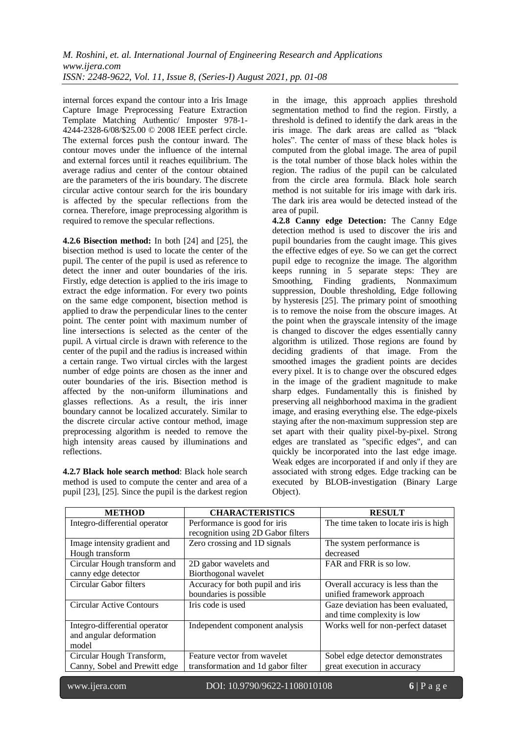internal forces expand the contour into a Iris Image Capture Image Preprocessing Feature Extraction Template Matching Authentic/ Imposter 978-1- 4244-2328-6/08/\$25.00 © 2008 IEEE perfect circle. The external forces push the contour inward. The contour moves under the influence of the internal and external forces until it reaches equilibrium. The average radius and center of the contour obtained are the parameters of the iris boundary. The discrete circular active contour search for the iris boundary is affected by the specular reflections from the cornea. Therefore, image preprocessing algorithm is required to remove the specular reflections.

**4.2.6 Bisection method:** In both [24] and [25], the bisection method is used to locate the center of the pupil. The center of the pupil is used as reference to detect the inner and outer boundaries of the iris. Firstly, edge detection is applied to the iris image to extract the edge information. For every two points on the same edge component, bisection method is applied to draw the perpendicular lines to the center point. The center point with maximum number of line intersections is selected as the center of the pupil. A virtual circle is drawn with reference to the center of the pupil and the radius is increased within a certain range. Two virtual circles with the largest number of edge points are chosen as the inner and outer boundaries of the iris. Bisection method is affected by the non-uniform illuminations and glasses reflections. As a result, the iris inner boundary cannot be localized accurately. Similar to the discrete circular active contour method, image preprocessing algorithm is needed to remove the high intensity areas caused by illuminations and reflections.

**4.2.7 Black hole search method**: Black hole search method is used to compute the center and area of a pupil [23], [25]. Since the pupil is the darkest region in the image, this approach applies threshold segmentation method to find the region. Firstly, a threshold is defined to identify the dark areas in the iris image. The dark areas are called as "black holes". The center of mass of these black holes is computed from the global image. The area of pupil is the total number of those black holes within the region. The radius of the pupil can be calculated from the circle area formula. Black hole search method is not suitable for iris image with dark iris. The dark iris area would be detected instead of the area of pupil.

**4.2.8 Canny edge Detection:** The Canny Edge detection method is used to discover the iris and pupil boundaries from the caught image. This gives the effective edges of eye. So we can get the correct pupil edge to recognize the image. The algorithm keeps running in 5 separate steps: They are Smoothing, Finding gradients, Nonmaximum suppression, Double thresholding, Edge following by hysteresis [25]. The primary point of smoothing is to remove the noise from the obscure images. At the point when the grayscale intensity of the image is changed to discover the edges essentially canny algorithm is utilized. Those regions are found by deciding gradients of that image. From the smoothed images the gradient points are decides every pixel. It is to change over the obscured edges in the image of the gradient magnitude to make sharp edges. Fundamentally this is finished by preserving all neighborhood maxima in the gradient image, and erasing everything else. The edge-pixels staying after the non-maximum suppression step are set apart with their quality pixel-by-pixel. Strong edges are translated as "specific edges", and can quickly be incorporated into the last edge image. Weak edges are incorporated if and only if they are associated with strong edges. Edge tracking can be executed by BLOB-investigation (Binary Large Object).

| <b>METHOD</b>                 | <b>CHARACTERISTICS</b>             | <b>RESULT</b>                          |
|-------------------------------|------------------------------------|----------------------------------------|
| Integro-differential operator | Performance is good for iris       | The time taken to locate iris is high. |
|                               | recognition using 2D Gabor filters |                                        |
| Image intensity gradient and  | Zero crossing and 1D signals       | The system performance is              |
| Hough transform               |                                    | decreased                              |
| Circular Hough transform and  | 2D gabor wavelets and              | FAR and FRR is so low.                 |
| canny edge detector           | Biorthogonal wavelet               |                                        |
| Circular Gabor filters        | Accuracy for both pupil and iris   | Overall accuracy is less than the      |
|                               | boundaries is possible             | unified framework approach             |
| Circular Active Contours      | Iris code is used                  | Gaze deviation has been evaluated,     |
|                               |                                    | and time complexity is low             |
| Integro-differential operator | Independent component analysis     | Works well for non-perfect dataset     |
| and angular deformation       |                                    |                                        |
| model                         |                                    |                                        |
| Circular Hough Transform,     | Feature vector from wavelet        | Sobel edge detector demonstrates       |
| Canny, Sobel and Prewitt edge | transformation and 1d gabor filter | great execution in accuracy            |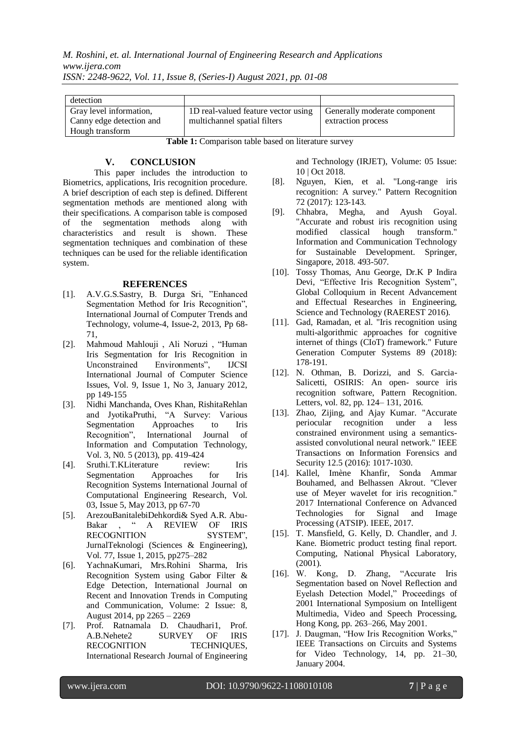*M. Roshini, et. al. International Journal of Engineering Research and Applications www.ijera.com ISSN: 2248-9622, Vol. 11, Issue 8, (Series-I) August 2021, pp. 01-08*

| detection                                           |                                                                     |                                                    |
|-----------------------------------------------------|---------------------------------------------------------------------|----------------------------------------------------|
| Gray level information,<br>Canny edge detection and | 1D real-valued feature vector using<br>multichannel spatial filters | Generally moderate component<br>extraction process |
| Hough transform                                     |                                                                     |                                                    |

**Table 1:** Comparison table based on literature survey

# **V. CONCLUSION**

This paper includes the introduction to Biometrics, applications, Iris recognition procedure. A brief description of each step is defined. Different segmentation methods are mentioned along with their specifications. A comparison table is composed of the segmentation methods along with characteristics and result is shown. These segmentation techniques and combination of these techniques can be used for the reliable identification system.

## **REFERENCES**

- [1]. A.V.G.S.Sastry, B. Durga Sri, "Enhanced Segmentation Method for Iris Recognition", International Journal of Computer Trends and Technology, volume-4, Issue-2, 2013, Pp 68- 71,
- [2]. Mahmoud Mahlouji , Ali Noruzi , "Human Iris Segmentation for Iris Recognition in Unconstrained Environments", IJCSI International Journal of Computer Science Issues, Vol. 9, Issue 1, No 3, January 2012, pp 149-155
- [3]. Nidhi Manchanda, Oves Khan, RishitaRehlan and JyotikaPruthi, "A Survey: Various Segmentation Approaches to Iris Recognition", International Journal of Information and Computation Technology, Vol. 3, N0. 5 (2013), pp. 419-424
- [4]. Sruthi.T.KLiterature review: Iris Segmentation Approaches for Iris Recognition Systems International Journal of Computational Engineering Research, Vol. 03, Issue 5, May 2013, pp 67-70
- [5]. ArezouBanitalebiDehkordi& Syed A.R. Abu-Bakar , " A REVIEW OF IRIS RECOGNITION SYSTEM", JurnalTeknologi (Sciences & Engineering), Vol. 77, Issue 1, 2015, pp275–282
- [6]. YachnaKumari, Mrs.Rohini Sharma, Iris Recognition System using Gabor Filter & Edge Detection, International Journal on Recent and Innovation Trends in Computing and Communication, Volume: 2 Issue: 8, August 2014, pp 2265 – 2269
- [7]. Prof. Ratnamala D. Chaudhari1, Prof. A.B.Nehete2 SURVEY OF IRIS RECOGNITION TECHNIQUES, International Research Journal of Engineering

and Technology (IRJET), Volume: 05 Issue: 10 | Oct 2018.

- [8]. Nguyen, Kien, et al. "Long-range iris recognition: A survey." Pattern Recognition 72 (2017): 123-143.
- [9]. Chhabra, Megha, and Ayush Goyal. "Accurate and robust iris recognition using modified classical hough transform." Information and Communication Technology for Sustainable Development. Springer, Singapore, 2018. 493-507.
- [10]. Tossy Thomas, Anu George, Dr.K P Indira Devi, "Effective Iris Recognition System", Global Colloquium in Recent Advancement and Effectual Researches in Engineering, Science and Technology (RAEREST 2016).
- [11]. Gad, Ramadan, et al. "Iris recognition using multi-algorithmic approaches for cognitive internet of things (CIoT) framework." Future Generation Computer Systems 89 (2018): 178-191.
- [12]. N. Othman, B. Dorizzi, and S. Garcia-Salicetti, OSIRIS: An open- source iris recognition software, Pattern Recognition. Letters, vol. 82, pp. 124– 131, 2016.
- [13]. Zhao, Zijing, and Ajay Kumar. "Accurate periocular recognition under a less constrained environment using a semanticsassisted convolutional neural network." IEEE Transactions on Information Forensics and Security 12.5 (2016): 1017-1030.
- [14]. Kallel, Imène Khanfir, Sonda Ammar Bouhamed, and Belhassen Akrout. "Clever use of Meyer wavelet for iris recognition." 2017 International Conference on Advanced Technologies for Signal and Image Processing (ATSIP). IEEE, 2017.
- [15]. T. Mansfield, G. Kelly, D. Chandler, and J. Kane. Biometric product testing final report. Computing, National Physical Laboratory, (2001).
- [16]. W. Kong, D. Zhang, "Accurate Iris Segmentation based on Novel Reflection and Eyelash Detection Model," Proceedings of 2001 International Symposium on Intelligent Multimedia, Video and Speech Processing, Hong Kong, pp. 263–266, May 2001.
- [17]. J. Daugman, "How Iris Recognition Works," IEEE Transactions on Circuits and Systems for Video Technology, 14, pp. 21–30, January 2004.